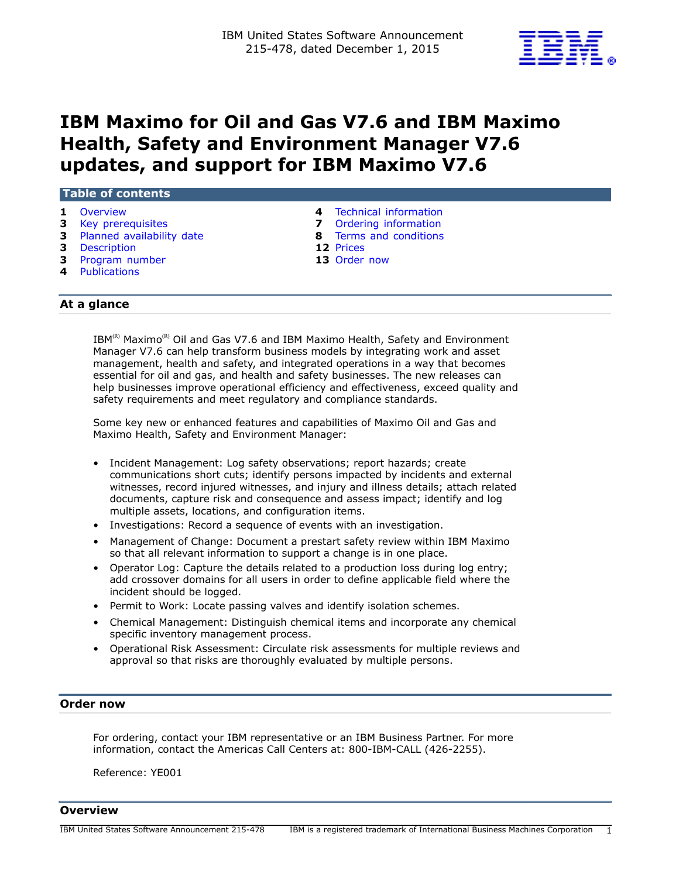

# **IBM Maximo for Oil and Gas V7.6 and IBM Maximo Health, Safety and Environment Manager V7.6 updates, and support for IBM Maximo V7.6**

| Table of contents           |                               |  |
|-----------------------------|-------------------------------|--|
| <b>1</b> Overview           | 4 Technical information       |  |
| 3 Key prerequisites         | <b>7</b> Ordering information |  |
| 3 Planned availability date | 8 Terms and conditions        |  |
| <b>3</b> Description        | 12 Prices                     |  |
| 3 Program number            | 13 Order now                  |  |
| 4 Publications              |                               |  |

# **At a glance**

 $IBM^{(R)}$  Maximo<sup>(R)</sup> Oil and Gas V7.6 and IBM Maximo Health, Safety and Environment Manager V7.6 can help transform business models by integrating work and asset management, health and safety, and integrated operations in a way that becomes essential for oil and gas, and health and safety businesses. The new releases can help businesses improve operational efficiency and effectiveness, exceed quality and safety requirements and meet regulatory and compliance standards.

Some key new or enhanced features and capabilities of Maximo Oil and Gas and Maximo Health, Safety and Environment Manager:

- Incident Management: Log safety observations; report hazards; create communications short cuts; identify persons impacted by incidents and external witnesses, record injured witnesses, and injury and illness details; attach related documents, capture risk and consequence and assess impact; identify and log multiple assets, locations, and configuration items.
- Investigations: Record a sequence of events with an investigation.
- Management of Change: Document a prestart safety review within IBM Maximo so that all relevant information to support a change is in one place.
- Operator Log: Capture the details related to a production loss during log entry; add crossover domains for all users in order to define applicable field where the incident should be logged.
- Permit to Work: Locate passing valves and identify isolation schemes.
- Chemical Management: Distinguish chemical items and incorporate any chemical specific inventory management process.
- Operational Risk Assessment: Circulate risk assessments for multiple reviews and approval so that risks are thoroughly evaluated by multiple persons.

#### **Order now**

For ordering, contact your IBM representative or an IBM Business Partner. For more information, contact the Americas Call Centers at: 800-IBM-CALL (426-2255).

Reference: YE001

<span id="page-0-0"></span>**Overview**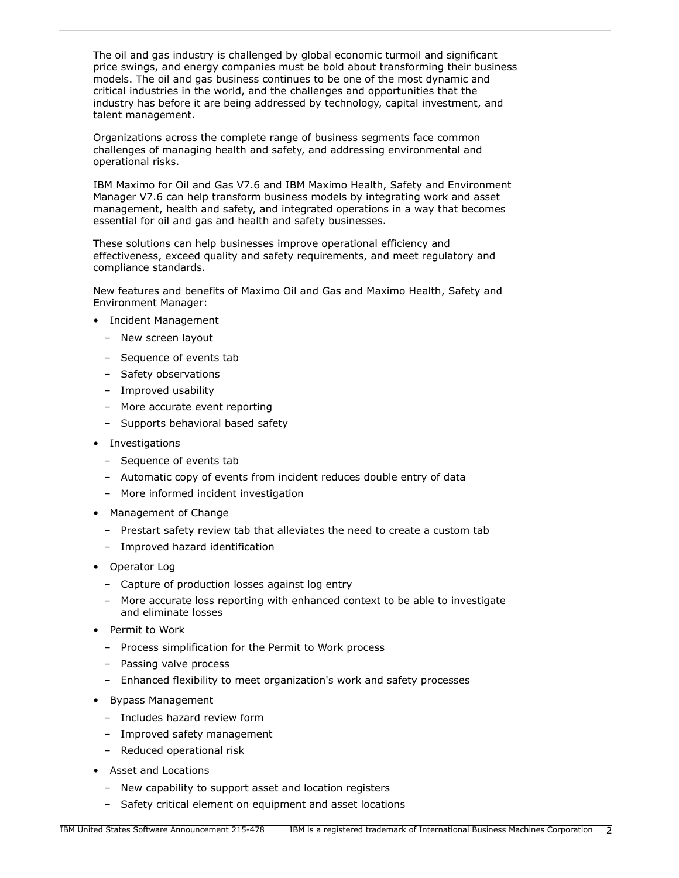The oil and gas industry is challenged by global economic turmoil and significant price swings, and energy companies must be bold about transforming their business models. The oil and gas business continues to be one of the most dynamic and critical industries in the world, and the challenges and opportunities that the industry has before it are being addressed by technology, capital investment, and talent management.

Organizations across the complete range of business segments face common challenges of managing health and safety, and addressing environmental and operational risks.

IBM Maximo for Oil and Gas V7.6 and IBM Maximo Health, Safety and Environment Manager V7.6 can help transform business models by integrating work and asset management, health and safety, and integrated operations in a way that becomes essential for oil and gas and health and safety businesses.

These solutions can help businesses improve operational efficiency and effectiveness, exceed quality and safety requirements, and meet regulatory and compliance standards.

New features and benefits of Maximo Oil and Gas and Maximo Health, Safety and Environment Manager:

- Incident Management
	- New screen layout
	- Sequence of events tab
	- Safety observations
	- Improved usability
	- More accurate event reporting
	- Supports behavioral based safety
- Investigations
	- Sequence of events tab
	- Automatic copy of events from incident reduces double entry of data
	- More informed incident investigation
- Management of Change
	- Prestart safety review tab that alleviates the need to create a custom tab
	- Improved hazard identification
- Operator Log
	- Capture of production losses against log entry
	- More accurate loss reporting with enhanced context to be able to investigate and eliminate losses
- Permit to Work
	- Process simplification for the Permit to Work process
	- Passing valve process
	- Enhanced flexibility to meet organization's work and safety processes
- Bypass Management
	- Includes hazard review form
	- Improved safety management
	- Reduced operational risk
- Asset and Locations
	- New capability to support asset and location registers
	- Safety critical element on equipment and asset locations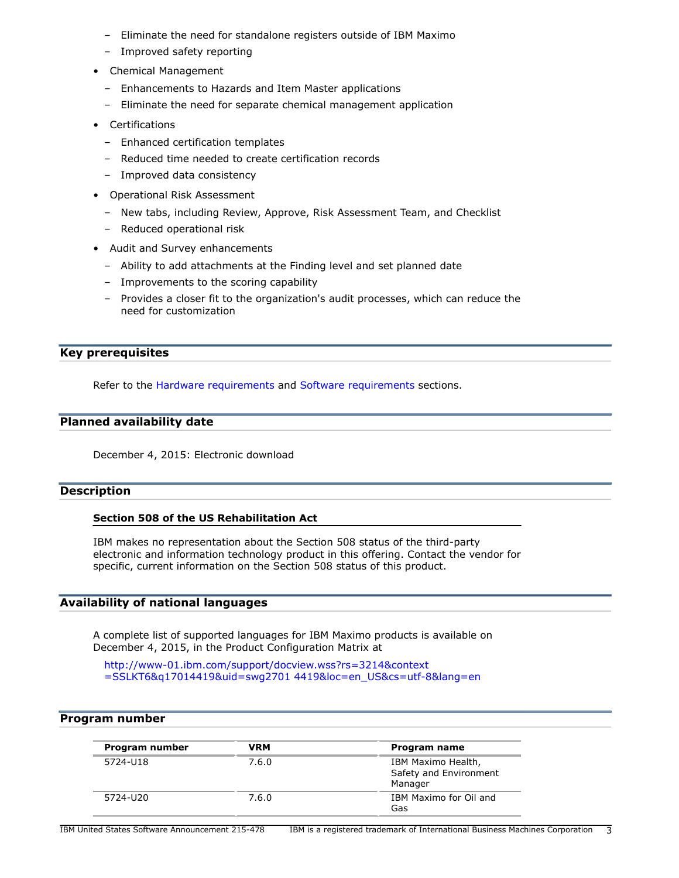- Eliminate the need for standalone registers outside of IBM Maximo
- Improved safety reporting
- Chemical Management
	- Enhancements to Hazards and Item Master applications
	- Eliminate the need for separate chemical management application
- Certifications
	- Enhanced certification templates
	- Reduced time needed to create certification records
	- Improved data consistency
- Operational Risk Assessment
	- New tabs, including Review, Approve, Risk Assessment Team, and Checklist
	- Reduced operational risk
- Audit and Survey enhancements
	- Ability to add attachments at the Finding level and set planned date
	- Improvements to the scoring capability
	- Provides a closer fit to the organization's audit processes, which can reduce the need for customization

# <span id="page-2-0"></span>**Key prerequisites**

Refer to the [Hardware requirements](#page-3-2) and [Software requirements](#page-4-0) sections.

# <span id="page-2-1"></span>**Planned availability date**

December 4, 2015: Electronic download

# <span id="page-2-2"></span>**Description**

# **Section 508 of the US Rehabilitation Act**

IBM makes no representation about the Section 508 status of the third-party electronic and information technology product in this offering. Contact the vendor for specific, current information on the Section 508 status of this product.

# <span id="page-2-4"></span>**Availability of national languages**

A complete list of supported languages for IBM Maximo products is available on December 4, 2015, in the Product Configuration Matrix at

[http://www-01.ibm.com/support/docview.wss?rs=3214&context](http://www-01.ibm.com/support/docview.wss?rs=3214&context=SSLKT6&q17014419&uid=swg27014419&loc=en_US&cs=utf-8&lang=en) [=SSLKT6&q17014419&uid=swg2701 4419&loc=en\\_US&cs=utf-8&lang=en](http://www-01.ibm.com/support/docview.wss?rs=3214&context=SSLKT6&q17014419&uid=swg27014419&loc=en_US&cs=utf-8&lang=en)

# <span id="page-2-3"></span>**Program number**

| Program number | VRM   | Program name                                            |
|----------------|-------|---------------------------------------------------------|
| 5724-U18       | 7.6.0 | IBM Maximo Health,<br>Safety and Environment<br>Manager |
| 5724-U20       | 7.6.0 | IBM Maximo for Oil and<br>Gas                           |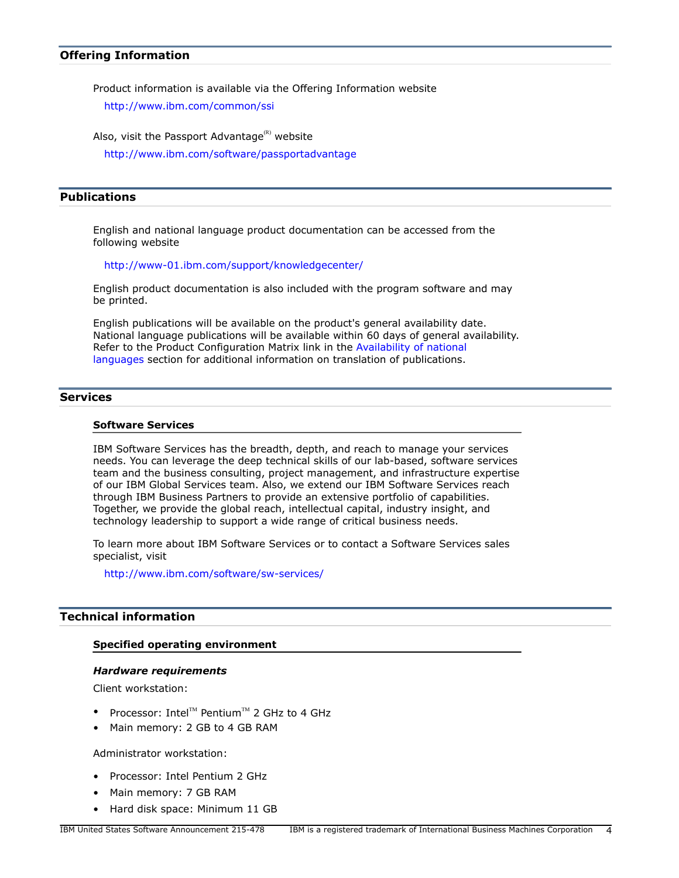# **Offering Information**

Product information is available via the Offering Information website

<http://www.ibm.com/common/ssi>

Also, visit the Passport Advantage $(R)$  website

<http://www.ibm.com/software/passportadvantage>

# <span id="page-3-1"></span>**Publications**

English and national language product documentation can be accessed from the following website

<http://www-01.ibm.com/support/knowledgecenter/>

English product documentation is also included with the program software and may be printed.

English publications will be available on the product's general availability date. National language publications will be available within 60 days of general availability. Refer to the Product Configuration Matrix link in the [Availability of national](#page-2-4) [languages](#page-2-4) section for additional information on translation of publications.

# **Services**

# **Software Services**

IBM Software Services has the breadth, depth, and reach to manage your services needs. You can leverage the deep technical skills of our lab-based, software services team and the business consulting, project management, and infrastructure expertise of our IBM Global Services team. Also, we extend our IBM Software Services reach through IBM Business Partners to provide an extensive portfolio of capabilities. Together, we provide the global reach, intellectual capital, industry insight, and technology leadership to support a wide range of critical business needs.

To learn more about IBM Software Services or to contact a Software Services sales specialist, visit

<http://www.ibm.com/software/sw-services/>

# <span id="page-3-0"></span>**Technical information**

#### **Specified operating environment**

#### <span id="page-3-2"></span>*Hardware requirements*

Client workstation:

- Processor: Intel<sup>TM</sup> Pentium<sup>TM</sup> 2 GHz to 4 GHz
- Main memory: 2 GB to 4 GB RAM

Administrator workstation:

- Processor: Intel Pentium 2 GHz
- Main memory: 7 GB RAM
- Hard disk space: Minimum 11 GB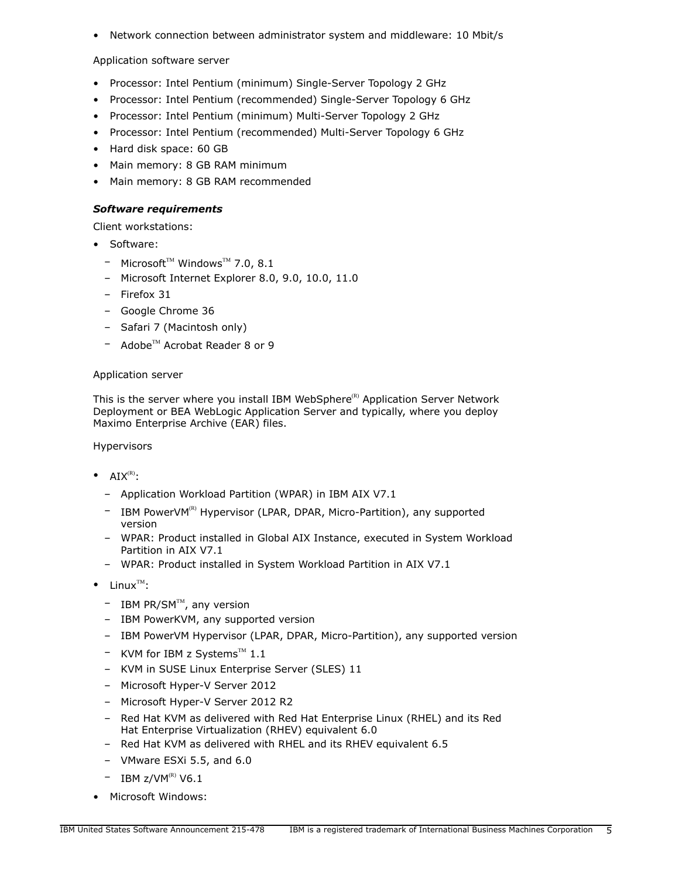• Network connection between administrator system and middleware: 10 Mbit/s

# Application software server

- Processor: Intel Pentium (minimum) Single-Server Topology 2 GHz
- Processor: Intel Pentium (recommended) Single-Server Topology 6 GHz
- Processor: Intel Pentium (minimum) Multi-Server Topology 2 GHz
- Processor: Intel Pentium (recommended) Multi-Server Topology 6 GHz
- Hard disk space: 60 GB
- Main memory: 8 GB RAM minimum
- Main memory: 8 GB RAM recommended

# <span id="page-4-0"></span>*Software requirements*

Client workstations:

- Software:
	- $-$  Microsoft<sup>TM</sup> Windows<sup>TM</sup> 7.0, 8.1
	- Microsoft Internet Explorer 8.0, 9.0, 10.0, 11.0
	- Firefox 31
	- Google Chrome 36
	- Safari 7 (Macintosh only)
	- $-$  Adobe<sup>TM</sup> Acrobat Reader 8 or 9

# Application server

This is the server where you install IBM WebSphere<sup>(R)</sup> Application Server Network Deployment or BEA WebLogic Application Server and typically, where you deploy Maximo Enterprise Archive (EAR) files.

Hypervisors

- $AIX^{(R)}$ :
	- Application Workload Partition (WPAR) in IBM AIX V7.1
	- IBM PowerVM<sup>(R)</sup> Hypervisor (LPAR, DPAR, Micro-Partition), any supported version
	- WPAR: Product installed in Global AIX Instance, executed in System Workload Partition in AIX V7.1
	- WPAR: Product installed in System Workload Partition in AIX V7.1
- $\bullet$  Linux<sup>TM</sup>:
	- $-$  IBM PR/SM<sup>TM</sup>, any version
	- IBM PowerKVM, any supported version
	- IBM PowerVM Hypervisor (LPAR, DPAR, Micro-Partition), any supported version
	- $-$  KVM for IBM z Systems<sup>TM</sup> 1.1
	- KVM in SUSE Linux Enterprise Server (SLES) 11
	- Microsoft Hyper-V Server 2012
	- Microsoft Hyper-V Server 2012 R2
	- Red Hat KVM as delivered with Red Hat Enterprise Linux (RHEL) and its Red Hat Enterprise Virtualization (RHEV) equivalent 6.0
	- Red Hat KVM as delivered with RHEL and its RHEV equivalent 6.5
	- VMware ESXi 5.5, and 6.0
	- $-$  IBM z/VM<sup>(R)</sup> V6.1
- Microsoft Windows: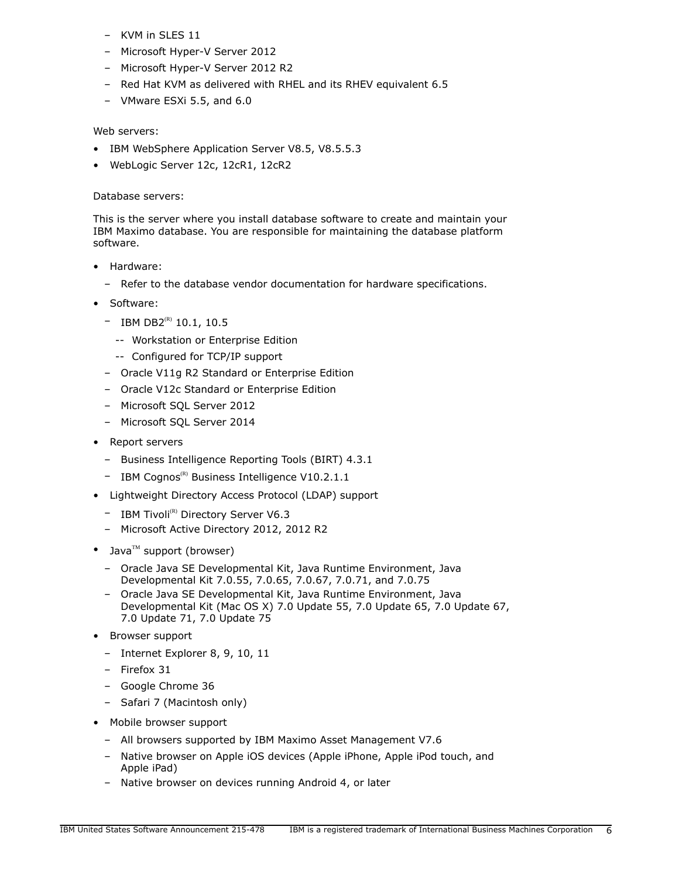- KVM in SLES 11
- Microsoft Hyper-V Server 2012
- Microsoft Hyper-V Server 2012 R2
- Red Hat KVM as delivered with RHEL and its RHEV equivalent 6.5
- VMware ESXi 5.5, and 6.0

# Web servers:

- IBM WebSphere Application Server V8.5, V8.5.5.3
- WebLogic Server 12c, 12cR1, 12cR2

# Database servers:

This is the server where you install database software to create and maintain your IBM Maximo database. You are responsible for maintaining the database platform software.

- Hardware:
	- Refer to the database vendor documentation for hardware specifications.
- Software:
	- $-$  IBM DB2<sup>(R)</sup> 10.1, 10.5
		- -- Workstation or Enterprise Edition
		- -- Configured for TCP/IP support
	- Oracle V11g R2 Standard or Enterprise Edition
	- Oracle V12c Standard or Enterprise Edition
	- Microsoft SQL Server 2012
	- Microsoft SQL Server 2014
- Report servers
	- Business Intelligence Reporting Tools (BIRT) 4.3.1
	- $-$  IBM Cognos<sup>(R)</sup> Business Intelligence V10.2.1.1
- Lightweight Directory Access Protocol (LDAP) support
	- $-$  IBM Tivoli<sup>(R)</sup> Directory Server V6.3
	- Microsoft Active Directory 2012, 2012 R2
- Java $^{TM}$  support (browser)
	- Oracle Java SE Developmental Kit, Java Runtime Environment, Java Developmental Kit 7.0.55, 7.0.65, 7.0.67, 7.0.71, and 7.0.75
	- Oracle Java SE Developmental Kit, Java Runtime Environment, Java Developmental Kit (Mac OS X) 7.0 Update 55, 7.0 Update 65, 7.0 Update 67, 7.0 Update 71, 7.0 Update 75
- Browser support
	- Internet Explorer 8, 9, 10, 11
	- Firefox 31
	- Google Chrome 36
	- Safari 7 (Macintosh only)
- Mobile browser support
	- All browsers supported by IBM Maximo Asset Management V7.6
	- Native browser on Apple iOS devices (Apple iPhone, Apple iPod touch, and Apple iPad)
	- Native browser on devices running Android 4, or later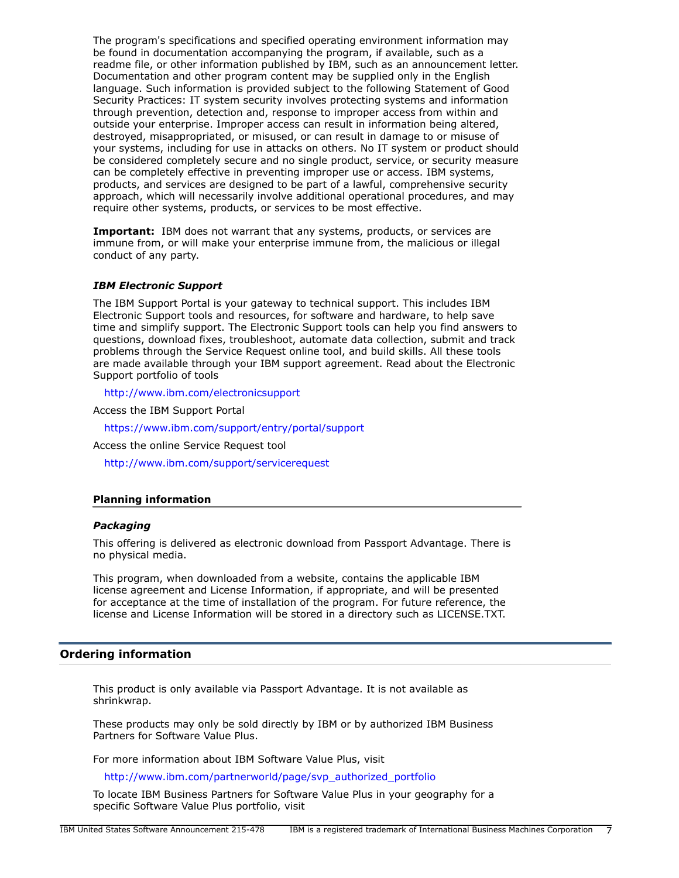The program's specifications and specified operating environment information may be found in documentation accompanying the program, if available, such as a readme file, or other information published by IBM, such as an announcement letter. Documentation and other program content may be supplied only in the English language. Such information is provided subject to the following Statement of Good Security Practices: IT system security involves protecting systems and information through prevention, detection and, response to improper access from within and outside your enterprise. Improper access can result in information being altered, destroyed, misappropriated, or misused, or can result in damage to or misuse of your systems, including for use in attacks on others. No IT system or product should be considered completely secure and no single product, service, or security measure can be completely effective in preventing improper use or access. IBM systems, products, and services are designed to be part of a lawful, comprehensive security approach, which will necessarily involve additional operational procedures, and may require other systems, products, or services to be most effective.

**Important:** IBM does not warrant that any systems, products, or services are immune from, or will make your enterprise immune from, the malicious or illegal conduct of any party.

#### *IBM Electronic Support*

The IBM Support Portal is your gateway to technical support. This includes IBM Electronic Support tools and resources, for software and hardware, to help save time and simplify support. The Electronic Support tools can help you find answers to questions, download fixes, troubleshoot, automate data collection, submit and track problems through the Service Request online tool, and build skills. All these tools are made available through your IBM support agreement. Read about the Electronic Support portfolio of tools

<http://www.ibm.com/electronicsupport>

Access the IBM Support Portal

<https://www.ibm.com/support/entry/portal/support>

Access the online Service Request tool

<http://www.ibm.com/support/servicerequest>

#### **Planning information**

#### *Packaging*

This offering is delivered as electronic download from Passport Advantage. There is no physical media.

This program, when downloaded from a website, contains the applicable IBM license agreement and License Information, if appropriate, and will be presented for acceptance at the time of installation of the program. For future reference, the license and License Information will be stored in a directory such as LICENSE.TXT.

#### <span id="page-6-0"></span>**Ordering information**

This product is only available via Passport Advantage. It is not available as shrinkwrap.

These products may only be sold directly by IBM or by authorized IBM Business Partners for Software Value Plus.

For more information about IBM Software Value Plus, visit

[http://www.ibm.com/partnerworld/page/svp\\_authorized\\_portfolio](http://www.ibm.com/partnerworld/page/svp_authorized_portfolio)

To locate IBM Business Partners for Software Value Plus in your geography for a specific Software Value Plus portfolio, visit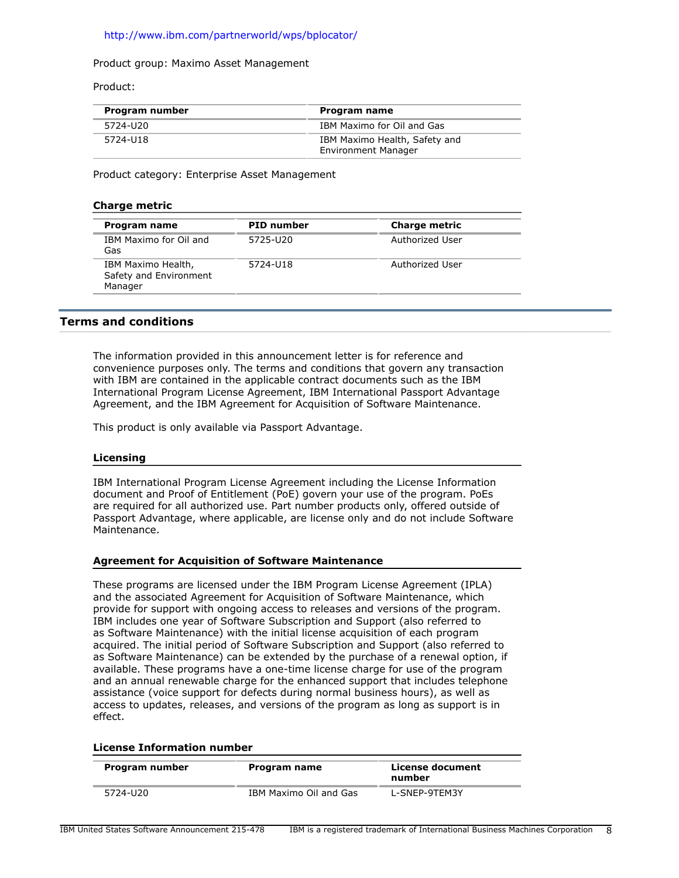# <http://www.ibm.com/partnerworld/wps/bplocator/>

#### Product group: Maximo Asset Management

Product:

| Program number | Program name                                                |
|----------------|-------------------------------------------------------------|
| 5724-U20       | IBM Maximo for Oil and Gas                                  |
| 5724-U18       | IBM Maximo Health, Safety and<br><b>Environment Manager</b> |

Product category: Enterprise Asset Management

## **Charge metric**

| Program name                                            | <b>PID</b> number | <b>Charge metric</b> |
|---------------------------------------------------------|-------------------|----------------------|
| IBM Maximo for Oil and<br>Gas                           | 5725-U20          | Authorized User      |
| IBM Maximo Health,<br>Safety and Environment<br>Manager | 5724-U18          | Authorized User      |

# <span id="page-7-0"></span>**Terms and conditions**

The information provided in this announcement letter is for reference and convenience purposes only. The terms and conditions that govern any transaction with IBM are contained in the applicable contract documents such as the IBM International Program License Agreement, IBM International Passport Advantage Agreement, and the IBM Agreement for Acquisition of Software Maintenance.

This product is only available via Passport Advantage.

#### **Licensing**

IBM International Program License Agreement including the License Information document and Proof of Entitlement (PoE) govern your use of the program. PoEs are required for all authorized use. Part number products only, offered outside of Passport Advantage, where applicable, are license only and do not include Software Maintenance.

#### **Agreement for Acquisition of Software Maintenance**

These programs are licensed under the IBM Program License Agreement (IPLA) and the associated Agreement for Acquisition of Software Maintenance, which provide for support with ongoing access to releases and versions of the program. IBM includes one year of Software Subscription and Support (also referred to as Software Maintenance) with the initial license acquisition of each program acquired. The initial period of Software Subscription and Support (also referred to as Software Maintenance) can be extended by the purchase of a renewal option, if available. These programs have a one-time license charge for use of the program and an annual renewable charge for the enhanced support that includes telephone assistance (voice support for defects during normal business hours), as well as access to updates, releases, and versions of the program as long as support is in effect.

#### **License Information number**

| Program number | Program name           | License document<br>number |
|----------------|------------------------|----------------------------|
| 5724-U20       | IBM Maximo Oil and Gas | L-SNEP-9TEM3Y              |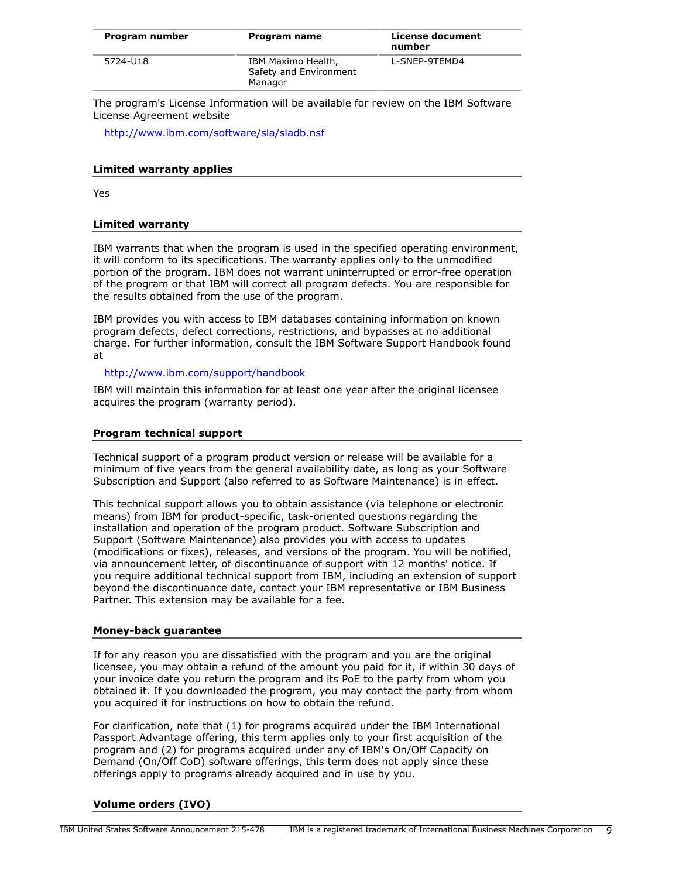| Program number | Program name                                            | License document<br>number |
|----------------|---------------------------------------------------------|----------------------------|
| 5724-U18       | IBM Maximo Health,<br>Safety and Environment<br>Manager | L-SNEP-9TEMD4              |

The program's License Information will be available for review on the IBM Software License Agreement website

<http://www.ibm.com/software/sla/sladb.nsf>

## **Limited warranty applies**

Yes

# **Limited warranty**

IBM warrants that when the program is used in the specified operating environment, it will conform to its specifications. The warranty applies only to the unmodified portion of the program. IBM does not warrant uninterrupted or error-free operation of the program or that IBM will correct all program defects. You are responsible for the results obtained from the use of the program.

IBM provides you with access to IBM databases containing information on known program defects, defect corrections, restrictions, and bypasses at no additional charge. For further information, consult the IBM Software Support Handbook found at

# <http://www.ibm.com/support/handbook>

IBM will maintain this information for at least one year after the original licensee acquires the program (warranty period).

# **Program technical support**

Technical support of a program product version or release will be available for a minimum of five years from the general availability date, as long as your Software Subscription and Support (also referred to as Software Maintenance) is in effect.

This technical support allows you to obtain assistance (via telephone or electronic means) from IBM for product-specific, task-oriented questions regarding the installation and operation of the program product. Software Subscription and Support (Software Maintenance) also provides you with access to updates (modifications or fixes), releases, and versions of the program. You will be notified, via announcement letter, of discontinuance of support with 12 months' notice. If you require additional technical support from IBM, including an extension of support beyond the discontinuance date, contact your IBM representative or IBM Business Partner. This extension may be available for a fee.

#### **Money-back guarantee**

If for any reason you are dissatisfied with the program and you are the original licensee, you may obtain a refund of the amount you paid for it, if within 30 days of your invoice date you return the program and its PoE to the party from whom you obtained it. If you downloaded the program, you may contact the party from whom you acquired it for instructions on how to obtain the refund.

For clarification, note that (1) for programs acquired under the IBM International Passport Advantage offering, this term applies only to your first acquisition of the program and (2) for programs acquired under any of IBM's On/Off Capacity on Demand (On/Off CoD) software offerings, this term does not apply since these offerings apply to programs already acquired and in use by you.

# **Volume orders (IVO)**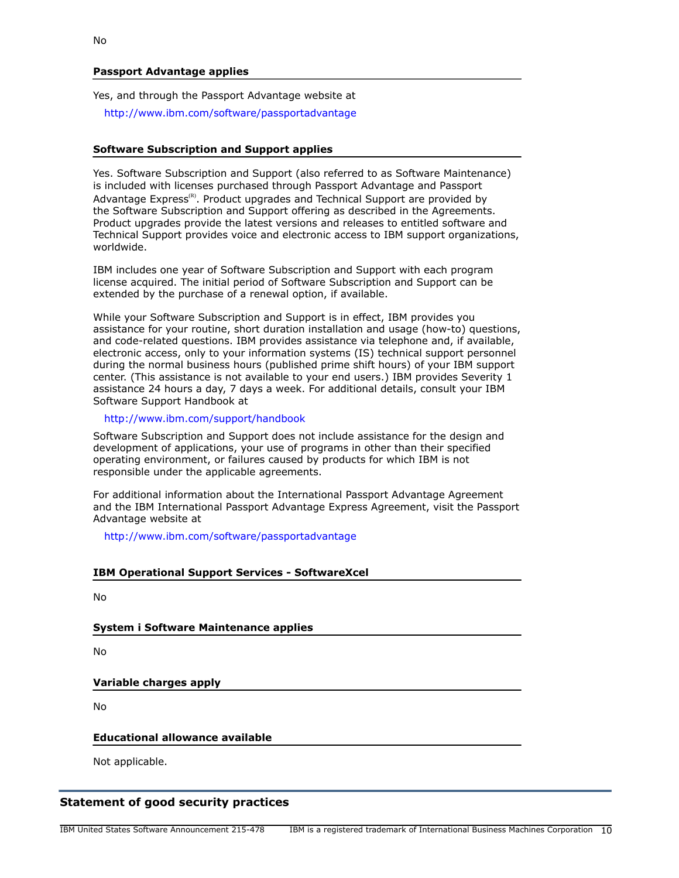# **Passport Advantage applies**

Yes, and through the Passport Advantage website at

<http://www.ibm.com/software/passportadvantage>

#### **Software Subscription and Support applies**

Yes. Software Subscription and Support (also referred to as Software Maintenance) is included with licenses purchased through Passport Advantage and Passport Advantage  $Express^{(R)}$ . Product upgrades and Technical Support are provided by the Software Subscription and Support offering as described in the Agreements. Product upgrades provide the latest versions and releases to entitled software and Technical Support provides voice and electronic access to IBM support organizations, worldwide.

IBM includes one year of Software Subscription and Support with each program license acquired. The initial period of Software Subscription and Support can be extended by the purchase of a renewal option, if available.

While your Software Subscription and Support is in effect, IBM provides you assistance for your routine, short duration installation and usage (how-to) questions, and code-related questions. IBM provides assistance via telephone and, if available, electronic access, only to your information systems (IS) technical support personnel during the normal business hours (published prime shift hours) of your IBM support center. (This assistance is not available to your end users.) IBM provides Severity 1 assistance 24 hours a day, 7 days a week. For additional details, consult your IBM Software Support Handbook at

#### <http://www.ibm.com/support/handbook>

Software Subscription and Support does not include assistance for the design and development of applications, your use of programs in other than their specified operating environment, or failures caused by products for which IBM is not responsible under the applicable agreements.

For additional information about the International Passport Advantage Agreement and the IBM International Passport Advantage Express Agreement, visit the Passport Advantage website at

<http://www.ibm.com/software/passportadvantage>

| <b>IBM Operational Support Services - SoftwareXcel</b> |  |
|--------------------------------------------------------|--|
|--------------------------------------------------------|--|

No

**System i Software Maintenance applies**

No

# **Variable charges apply**

No

# **Educational allowance available**

Not applicable.

# **Statement of good security practices**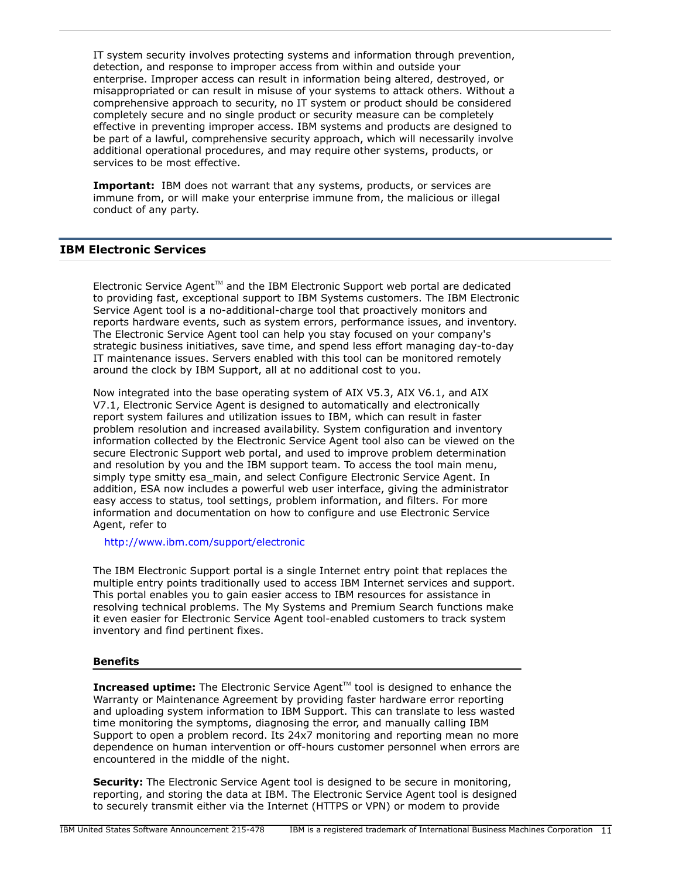IT system security involves protecting systems and information through prevention, detection, and response to improper access from within and outside your enterprise. Improper access can result in information being altered, destroyed, or misappropriated or can result in misuse of your systems to attack others. Without a comprehensive approach to security, no IT system or product should be considered completely secure and no single product or security measure can be completely effective in preventing improper access. IBM systems and products are designed to be part of a lawful, comprehensive security approach, which will necessarily involve additional operational procedures, and may require other systems, products, or services to be most effective.

**Important:** IBM does not warrant that any systems, products, or services are immune from, or will make your enterprise immune from, the malicious or illegal conduct of any party.

# **IBM Electronic Services**

Electronic Service Agent $T^M$  and the IBM Electronic Support web portal are dedicated to providing fast, exceptional support to IBM Systems customers. The IBM Electronic Service Agent tool is a no-additional-charge tool that proactively monitors and reports hardware events, such as system errors, performance issues, and inventory. The Electronic Service Agent tool can help you stay focused on your company's strategic business initiatives, save time, and spend less effort managing day-to-day IT maintenance issues. Servers enabled with this tool can be monitored remotely around the clock by IBM Support, all at no additional cost to you.

Now integrated into the base operating system of AIX V5.3, AIX V6.1, and AIX V7.1, Electronic Service Agent is designed to automatically and electronically report system failures and utilization issues to IBM, which can result in faster problem resolution and increased availability. System configuration and inventory information collected by the Electronic Service Agent tool also can be viewed on the secure Electronic Support web portal, and used to improve problem determination and resolution by you and the IBM support team. To access the tool main menu, simply type smitty esa main, and select Configure Electronic Service Agent. In addition, ESA now includes a powerful web user interface, giving the administrator easy access to status, tool settings, problem information, and filters. For more information and documentation on how to configure and use Electronic Service Agent, refer to

<http://www.ibm.com/support/electronic>

The IBM Electronic Support portal is a single Internet entry point that replaces the multiple entry points traditionally used to access IBM Internet services and support. This portal enables you to gain easier access to IBM resources for assistance in resolving technical problems. The My Systems and Premium Search functions make it even easier for Electronic Service Agent tool-enabled customers to track system inventory and find pertinent fixes.

#### **Benefits**

**Increased uptime:** The Electronic Service Agent™ tool is designed to enhance the Warranty or Maintenance Agreement by providing faster hardware error reporting and uploading system information to IBM Support. This can translate to less wasted time monitoring the symptoms, diagnosing the error, and manually calling IBM Support to open a problem record. Its 24x7 monitoring and reporting mean no more dependence on human intervention or off-hours customer personnel when errors are encountered in the middle of the night.

**Security:** The Electronic Service Agent tool is designed to be secure in monitoring, reporting, and storing the data at IBM. The Electronic Service Agent tool is designed to securely transmit either via the Internet (HTTPS or VPN) or modem to provide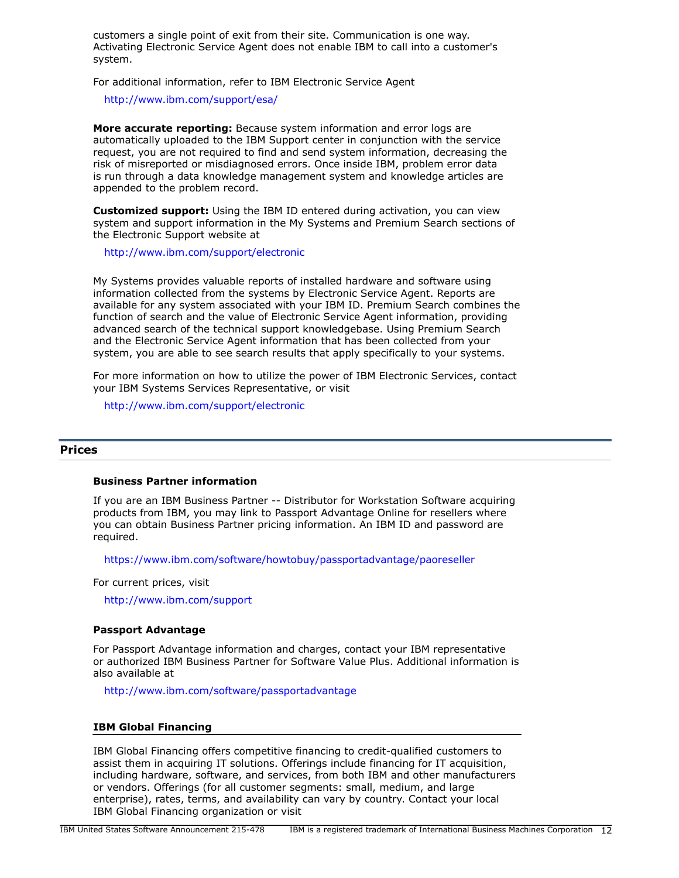customers a single point of exit from their site. Communication is one way. Activating Electronic Service Agent does not enable IBM to call into a customer's system.

For additional information, refer to IBM Electronic Service Agent

<http://www.ibm.com/support/esa/>

**More accurate reporting:** Because system information and error logs are automatically uploaded to the IBM Support center in conjunction with the service request, you are not required to find and send system information, decreasing the risk of misreported or misdiagnosed errors. Once inside IBM, problem error data is run through a data knowledge management system and knowledge articles are appended to the problem record.

**Customized support:** Using the IBM ID entered during activation, you can view system and support information in the My Systems and Premium Search sections of the Electronic Support website at

<http://www.ibm.com/support/electronic>

My Systems provides valuable reports of installed hardware and software using information collected from the systems by Electronic Service Agent. Reports are available for any system associated with your IBM ID. Premium Search combines the function of search and the value of Electronic Service Agent information, providing advanced search of the technical support knowledgebase. Using Premium Search and the Electronic Service Agent information that has been collected from your system, you are able to see search results that apply specifically to your systems.

For more information on how to utilize the power of IBM Electronic Services, contact your IBM Systems Services Representative, or visit

<http://www.ibm.com/support/electronic>

#### <span id="page-11-0"></span>**Prices**

## **Business Partner information**

If you are an IBM Business Partner -- Distributor for Workstation Software acquiring products from IBM, you may link to Passport Advantage Online for resellers where you can obtain Business Partner pricing information. An IBM ID and password are required.

<https://www.ibm.com/software/howtobuy/passportadvantage/paoreseller>

For current prices, visit

<http://www.ibm.com/support>

#### **Passport Advantage**

For Passport Advantage information and charges, contact your IBM representative or authorized IBM Business Partner for Software Value Plus. Additional information is also available at

<http://www.ibm.com/software/passportadvantage>

#### **IBM Global Financing**

IBM Global Financing offers competitive financing to credit-qualified customers to assist them in acquiring IT solutions. Offerings include financing for IT acquisition, including hardware, software, and services, from both IBM and other manufacturers or vendors. Offerings (for all customer segments: small, medium, and large enterprise), rates, terms, and availability can vary by country. Contact your local IBM Global Financing organization or visit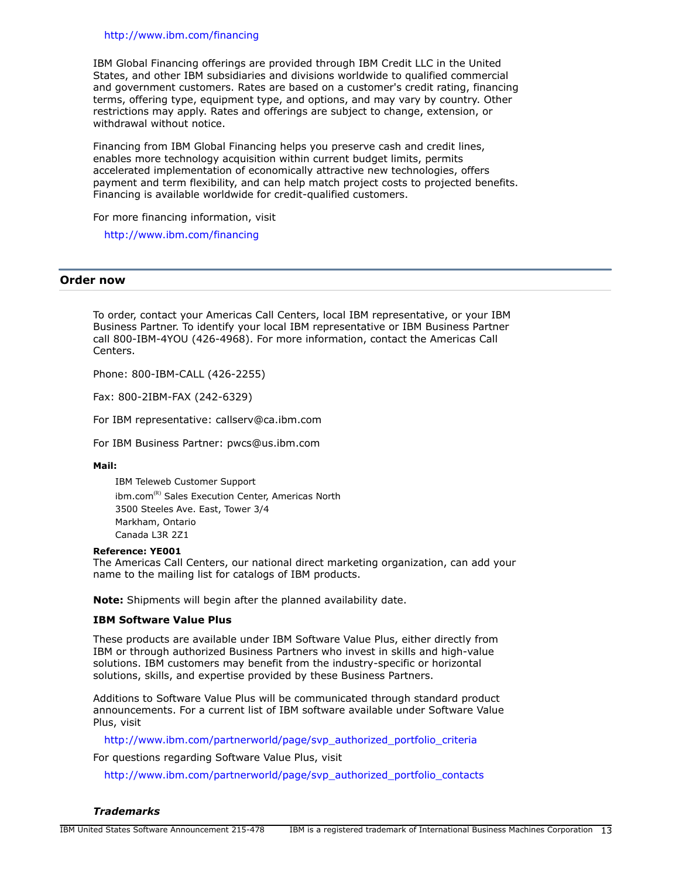#### <http://www.ibm.com/financing>

IBM Global Financing offerings are provided through IBM Credit LLC in the United States, and other IBM subsidiaries and divisions worldwide to qualified commercial and government customers. Rates are based on a customer's credit rating, financing terms, offering type, equipment type, and options, and may vary by country. Other restrictions may apply. Rates and offerings are subject to change, extension, or withdrawal without notice.

Financing from IBM Global Financing helps you preserve cash and credit lines, enables more technology acquisition within current budget limits, permits accelerated implementation of economically attractive new technologies, offers payment and term flexibility, and can help match project costs to projected benefits. Financing is available worldwide for credit-qualified customers.

For more financing information, visit

<http://www.ibm.com/financing>

#### <span id="page-12-0"></span>**Order now**

To order, contact your Americas Call Centers, local IBM representative, or your IBM Business Partner. To identify your local IBM representative or IBM Business Partner call 800-IBM-4YOU (426-4968). For more information, contact the Americas Call Centers.

Phone: 800-IBM-CALL (426-2255)

Fax: 800-2IBM-FAX (242-6329)

For IBM representative: callserv@ca.ibm.com

For IBM Business Partner: pwcs@us.ibm.com

**Mail:**

IBM Teleweb Customer Support ibm.com<sup>(R)</sup> Sales Execution Center, Americas North 3500 Steeles Ave. East, Tower 3/4 Markham, Ontario Canada L3R 2Z1

#### **Reference: YE001**

The Americas Call Centers, our national direct marketing organization, can add your name to the mailing list for catalogs of IBM products.

**Note:** Shipments will begin after the planned availability date.

## **IBM Software Value Plus**

These products are available under IBM Software Value Plus, either directly from IBM or through authorized Business Partners who invest in skills and high-value solutions. IBM customers may benefit from the industry-specific or horizontal solutions, skills, and expertise provided by these Business Partners.

Additions to Software Value Plus will be communicated through standard product announcements. For a current list of IBM software available under Software Value Plus, visit

[http://www.ibm.com/partnerworld/page/svp\\_authorized\\_portfolio\\_criteria](http://www.ibm.com/partnerworld/page/svp_authorized_portfolio_criteria)

For questions regarding Software Value Plus, visit

[http://www.ibm.com/partnerworld/page/svp\\_authorized\\_portfolio\\_contacts](http://www.ibm.com/partnerworld/page/svp_authorized_portfolio_contacts)

*Trademarks*